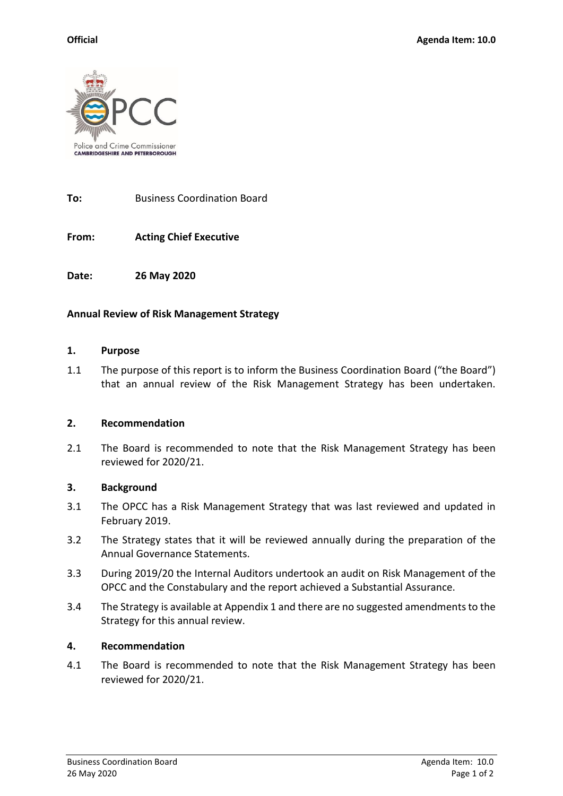

**To:** Business Coordination Board

**From: Acting Chief Executive**

**Date: 26 May 2020**

## **Annual Review of Risk Management Strategy**

#### **1. Purpose**

1.1 The purpose of this report is to inform the Business Coordination Board ("the Board") that an annual review of the Risk Management Strategy has been undertaken.

## **2. Recommendation**

2.1 The Board is recommended to note that the Risk Management Strategy has been reviewed for 2020/21.

### **3. Background**

- 3.1 The OPCC has a Risk Management Strategy that was last reviewed and updated in February 2019.
- 3.2 The Strategy states that it will be reviewed annually during the preparation of the Annual Governance Statements.
- 3.3 During 2019/20 the Internal Auditors undertook an audit on Risk Management of the OPCC and the Constabulary and the report achieved a Substantial Assurance.
- 3.4 The Strategy is available at Appendix 1 and there are no suggested amendments to the Strategy for this annual review.

### **4. Recommendation**

4.1 The Board is recommended to note that the Risk Management Strategy has been reviewed for 2020/21.